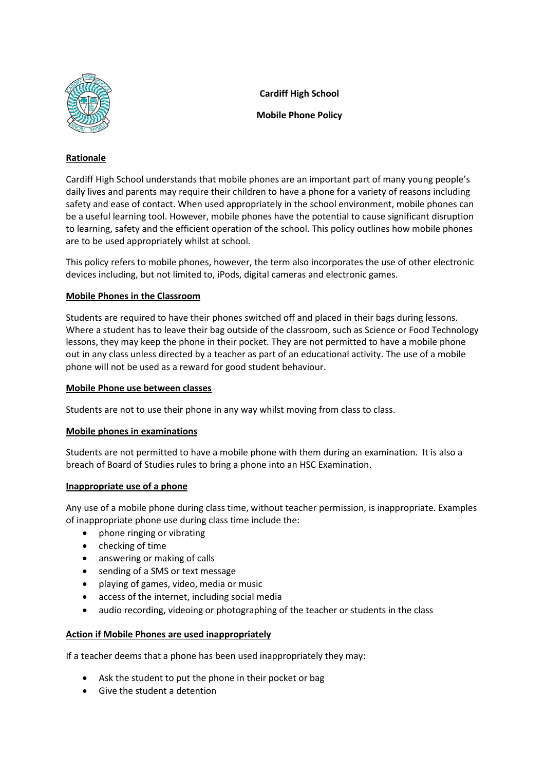

**Cardiff High School**

**Mobile Phone Policy**

# **Rationale**

Cardiff High School understands that mobile phones are an important part of many young people's daily lives and parents may require their children to have a phone for a variety of reasons including safety and ease of contact. When used appropriately in the school environment, mobile phones can be a useful learning tool. However, mobile phones have the potential to cause significant disruption to learning, safety and the efficient operation of the school. This policy outlines how mobile phones are to be used appropriately whilst at school.

This policy refers to mobile phones, however, the term also incorporates the use of other electronic devices including, but not limited to, iPods, digital cameras and electronic games.

## **Mobile Phones in the Classroom**

Students are required to have their phones switched off and placed in their bags during lessons. Where a student has to leave their bag outside of the classroom, such as Science or Food Technology lessons, they may keep the phone in their pocket. They are not permitted to have a mobile phone out in any class unless directed by a teacher as part of an educational activity. The use of a mobile phone will not be used as a reward for good student behaviour.

### **Mobile Phone use between classes**

Students are not to use their phone in any way whilst moving from class to class.

## **Mobile phones in examinations**

Students are not permitted to have a mobile phone with them during an examination. It is also a breach of Board of Studies rules to bring a phone into an HSC Examination.

#### **Inappropriate use of a phone**

Any use of a mobile phone during class time, without teacher permission, is inappropriate. Examples of inappropriate phone use during class time include the:

- phone ringing or vibrating
- checking of time
- answering or making of calls
- sending of a SMS or text message
- playing of games, video, media or music
- access of the internet, including social media
- audio recording, videoing or photographing of the teacher or students in the class

#### **Action if Mobile Phones are used inappropriately**

If a teacher deems that a phone has been used inappropriately they may:

- Ask the student to put the phone in their pocket or bag
- Give the student a detention